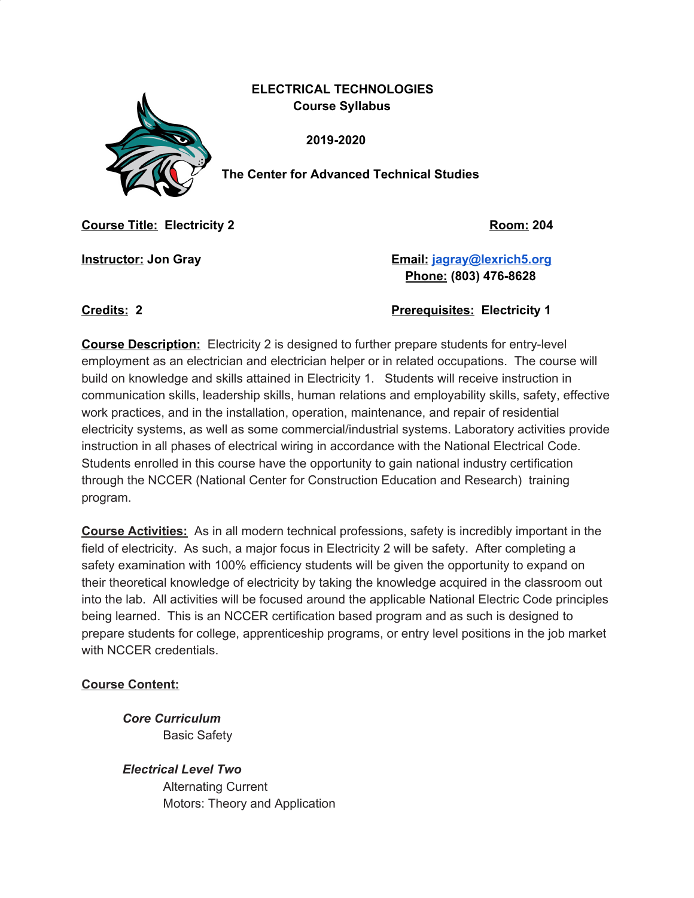## **ELECTRICAL TECHNOLOGIES Course Syllabus**



**2019-2020**

**The Center for Advanced Technical Studies**

**Course Title: Electricity 2 Room: 204**

**Instructor: Jon Gray Email: [jagray@lexrich5.org](mailto:jagray@lexrich5.org) Phone: (803) 476-8628**

**Credits: 2 Prerequisites: Electricity 1**

**Course Description:** Electricity 2 is designed to further prepare students for entry-level employment as an electrician and electrician helper or in related occupations. The course will build on knowledge and skills attained in Electricity 1. Students will receive instruction in communication skills, leadership skills, human relations and employability skills, safety, effective work practices, and in the installation, operation, maintenance, and repair of residential electricity systems, as well as some commercial/industrial systems. Laboratory activities provide instruction in all phases of electrical wiring in accordance with the National Electrical Code. Students enrolled in this course have the opportunity to gain national industry certification through the NCCER (National Center for Construction Education and Research) training program.

**Course Activities:** As in all modern technical professions, safety is incredibly important in the field of electricity. As such, a major focus in Electricity 2 will be safety. After completing a safety examination with 100% efficiency students will be given the opportunity to expand on their theoretical knowledge of electricity by taking the knowledge acquired in the classroom out into the lab. All activities will be focused around the applicable National Electric Code principles being learned. This is an NCCER certification based program and as such is designed to prepare students for college, apprenticeship programs, or entry level positions in the job market with NCCER credentials.

# **Course Content:**

*Core Curriculum* Basic Safety

*Electrical Level Two* Alternating Current Motors: Theory and Application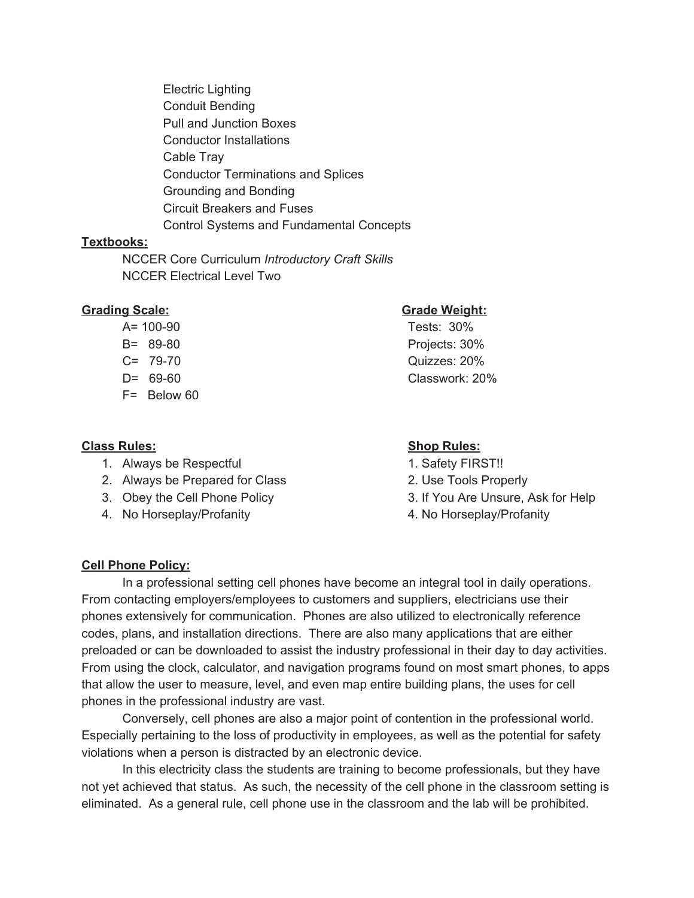Electric Lighting Conduit Bending Pull and Junction Boxes Conductor Installations Cable Tray Conductor Terminations and Splices Grounding and Bonding Circuit Breakers and Fuses Control Systems and Fundamental Concepts

### **Textbooks:**

NCCER Core Curriculum *Introductory Craft Skills* NCCER Electrical Level Two

### **Grading Scale: Grade Weight:**

A= 100-90 Tests: 30% B= 89-80 Projects: 30% C= 79-70 Quizzes: 20% D= 69-60 Classwork: 20% F= Below 60

### **Class Rules: Shop Rules:**

- 1. Always be Respectful 1. Safety FIRST!!
- 2. Always be Prepared for Class 2. Use Tools Properly
- 
- 4. No Horseplay/Profanity 4. No Horseplay/Profanity

- 
- 
- 3. Obey the Cell Phone Policy 3. If You Are Unsure, Ask for Help
	-

### **Cell Phone Policy:**

In a professional setting cell phones have become an integral tool in daily operations. From contacting employers/employees to customers and suppliers, electricians use their phones extensively for communication. Phones are also utilized to electronically reference codes, plans, and installation directions. There are also many applications that are either preloaded or can be downloaded to assist the industry professional in their day to day activities. From using the clock, calculator, and navigation programs found on most smart phones, to apps that allow the user to measure, level, and even map entire building plans, the uses for cell phones in the professional industry are vast.

Conversely, cell phones are also a major point of contention in the professional world. Especially pertaining to the loss of productivity in employees, as well as the potential for safety violations when a person is distracted by an electronic device.

In this electricity class the students are training to become professionals, but they have not yet achieved that status. As such, the necessity of the cell phone in the classroom setting is eliminated. As a general rule, cell phone use in the classroom and the lab will be prohibited.